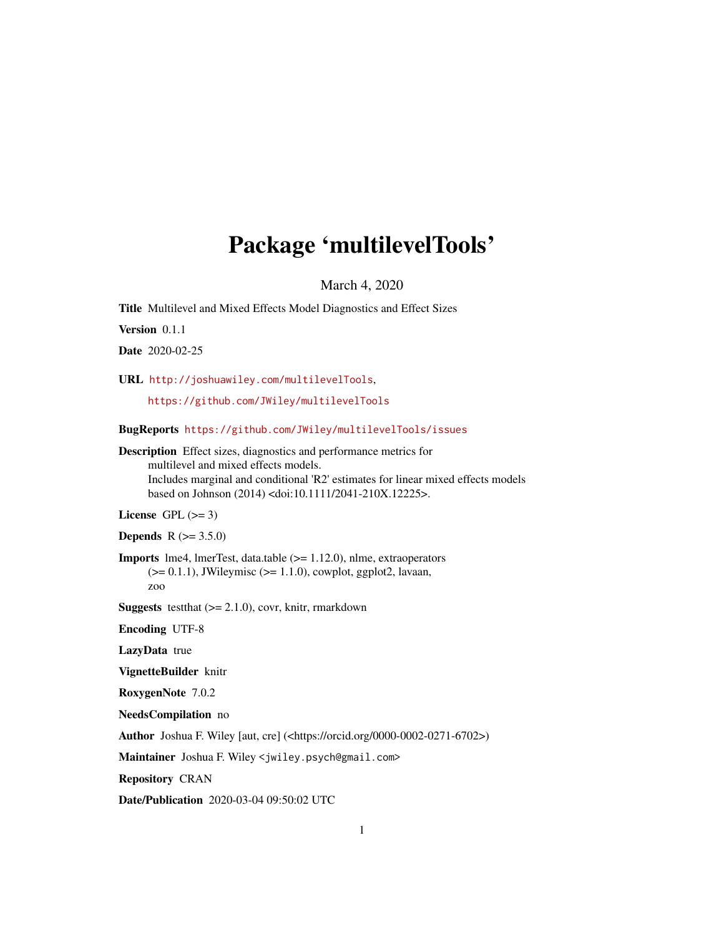# Package 'multilevelTools'

March 4, 2020

<span id="page-0-0"></span>Title Multilevel and Mixed Effects Model Diagnostics and Effect Sizes

Version 0.1.1

Date 2020-02-25

URL <http://joshuawiley.com/multilevelTools>,

<https://github.com/JWiley/multilevelTools>

BugReports <https://github.com/JWiley/multilevelTools/issues>

Description Effect sizes, diagnostics and performance metrics for multilevel and mixed effects models. Includes marginal and conditional 'R2' estimates for linear mixed effects models based on Johnson (2014) <doi:10.1111/2041-210X.12225>.

License GPL  $(>= 3)$ 

**Depends** R  $(>= 3.5.0)$ 

Imports lme4, lmerTest, data.table (>= 1.12.0), nlme, extraoperators  $(>= 0.1.1)$ , JWileymisc  $(>= 1.1.0)$ , cowplot, ggplot2, lavaan, zoo

**Suggests** test that  $(>= 2.1.0)$ , covr, knitr, rmarkdown

Encoding UTF-8

LazyData true

VignetteBuilder knitr

RoxygenNote 7.0.2

NeedsCompilation no

Author Joshua F. Wiley [aut, cre] (<https://orcid.org/0000-0002-0271-6702>)

Maintainer Joshua F. Wiley <jwiley.psych@gmail.com>

Repository CRAN

Date/Publication 2020-03-04 09:50:02 UTC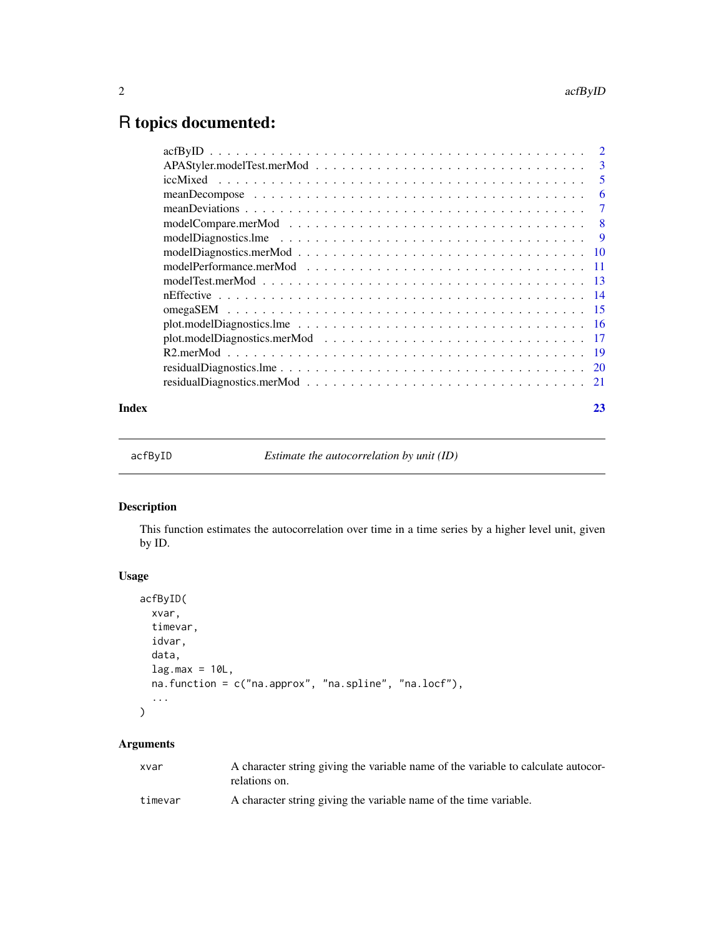## <span id="page-1-0"></span>R topics documented:

| Index | 23 |
|-------|----|

acfByID *Estimate the autocorrelation by unit (ID)*

### Description

This function estimates the autocorrelation over time in a time series by a higher level unit, given by ID.

#### Usage

```
acfByID(
 xvar,
 timevar,
 idvar,
 data,
 lag.max = 10L,na.function = c("na.approx", "na.spline", "na.locf"),
  ...
)
```
#### Arguments

| xvar    | A character string giving the variable name of the variable to calculate autocor-<br>relations on. |
|---------|----------------------------------------------------------------------------------------------------|
| timevar | A character string giving the variable name of the time variable.                                  |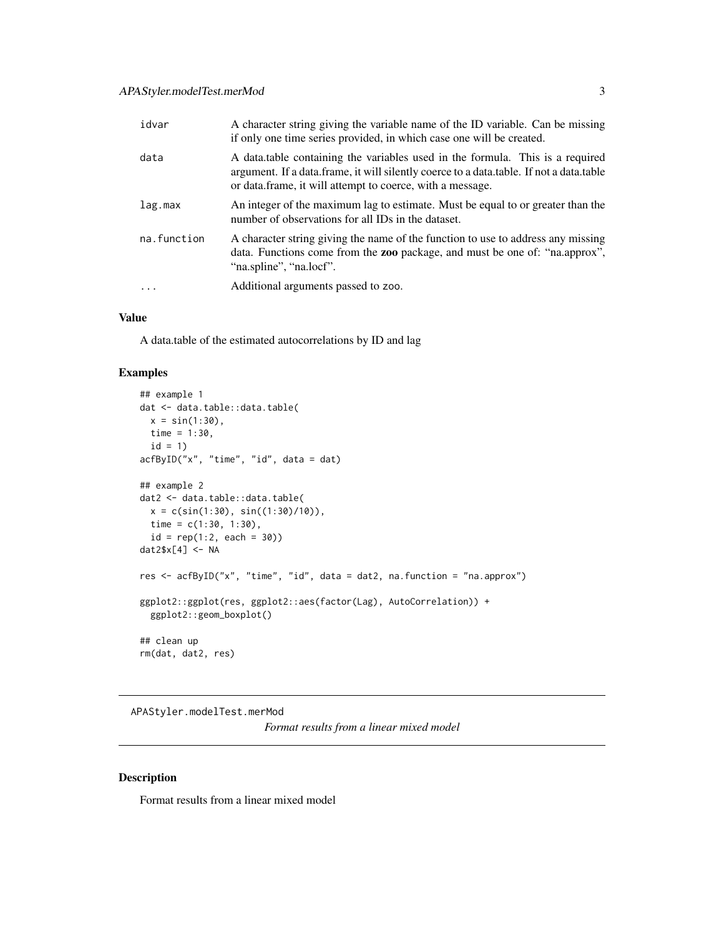<span id="page-2-0"></span>

| idvar       | A character string giving the variable name of the ID variable. Can be missing<br>if only one time series provided, in which case one will be created.                                                                                 |
|-------------|----------------------------------------------------------------------------------------------------------------------------------------------------------------------------------------------------------------------------------------|
| data        | A data table containing the variables used in the formula. This is a required<br>argument. If a data frame, it will silently coerce to a data table. If not a data table<br>or data. frame, it will attempt to coerce, with a message. |
| lag.max     | An integer of the maximum lag to estimate. Must be equal to or greater than the<br>number of observations for all IDs in the dataset.                                                                                                  |
| na.function | A character string giving the name of the function to use to address any missing<br>data. Functions come from the zoo package, and must be one of: "na.approx",<br>"na.spline", "na.locf".                                             |
| $\cdot$     | Additional arguments passed to zoo.                                                                                                                                                                                                    |

#### Value

A data.table of the estimated autocorrelations by ID and lag

#### Examples

```
## example 1
dat <- data.table::data.table(
 x = \sin(1:30),
 time = 1:30,
 id = 1acfByID("x", "time", "id", data = dat)
## example 2
dat2 <- data.table::data.table(
  x = c(sin(1:30), sin((1:30)/10)),time = c(1:30, 1:30),
  id = rep(1:2, each = 30))dat2$x[4] <- NA
res <- acfByID("x", "time", "id", data = dat2, na.function = "na.approx")
ggplot2::ggplot(res, ggplot2::aes(factor(Lag), AutoCorrelation)) +
  ggplot2::geom_boxplot()
## clean up
rm(dat, dat2, res)
```
APAStyler.modelTest.merMod

*Format results from a linear mixed model*

#### Description

Format results from a linear mixed model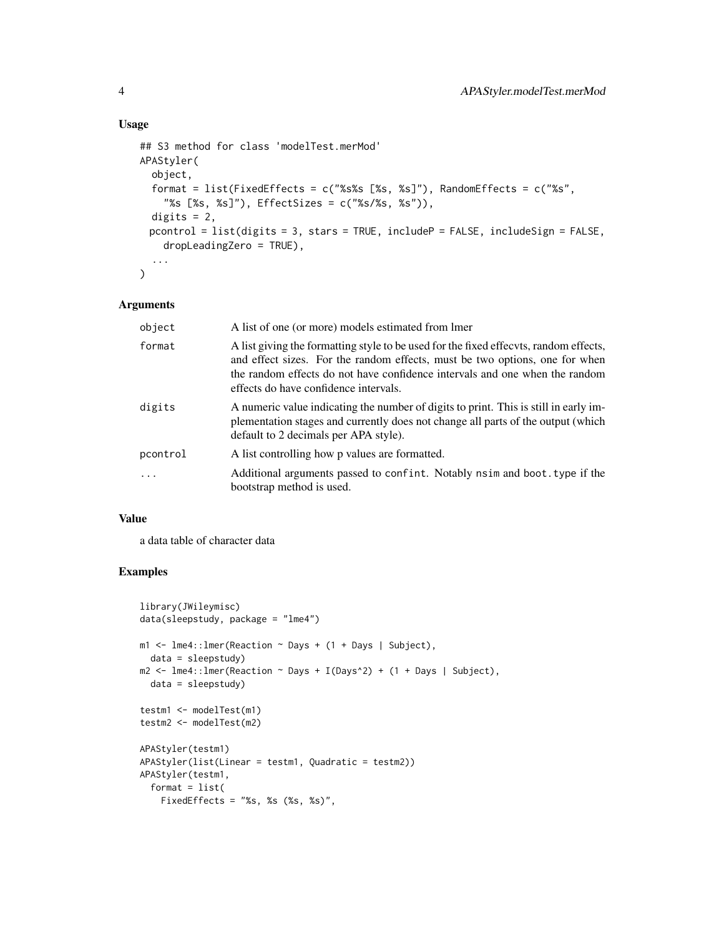#### Usage

```
## S3 method for class 'modelTest.merMod'
APAStyler(
  object,
  format = list(FixedEffects = c("%s%s [%s, %s]"), RandomEffects = c("%s",
    "%s [%s, %s]"), EffectSizes = c("%s/%s, %s")),
 digits = 2,
 pcontrol = list(digits = 3, stars = TRUE, includeP = FALSE, includeSign = FALSE,
    dropLeadingZero = TRUE),
  ...
\mathcal{L}
```
#### Arguments

| object   | A list of one (or more) models estimated from lmer                                                                                                                                                                                                                                          |
|----------|---------------------------------------------------------------------------------------------------------------------------------------------------------------------------------------------------------------------------------------------------------------------------------------------|
| format   | A list giving the formatting style to be used for the fixed effects, random effects,<br>and effect sizes. For the random effects, must be two options, one for when<br>the random effects do not have confidence intervals and one when the random<br>effects do have confidence intervals. |
| digits   | A numeric value indicating the number of digits to print. This is still in early im-<br>plementation stages and currently does not change all parts of the output (which<br>default to 2 decimals per APA style).                                                                           |
| pcontrol | A list controlling how p values are formatted.                                                                                                                                                                                                                                              |
|          | Additional arguments passed to confint. Notably nsime and boot type if the<br>bootstrap method is used.                                                                                                                                                                                     |

#### Value

a data table of character data

```
library(JWileymisc)
data(sleepstudy, package = "lme4")
m1 \leq -1me4::lmer(Reaction ~ Days + (1 + Days | Subject),
 data = sleepstudy)
m2 \le - lme4:: lmer(Reaction \sim Days + I(Days\textdegree{2}) + (1 + Days | Subject),
  data = sleepstudy)
testm1 <- modelTest(m1)
testm2 <- modelTest(m2)
APAStyler(testm1)
APAStyler(list(Linear = testm1, Quadratic = testm2))
APAStyler(testm1,
 format = list(FixedEffects = "%s, %s (%s, %s)",
```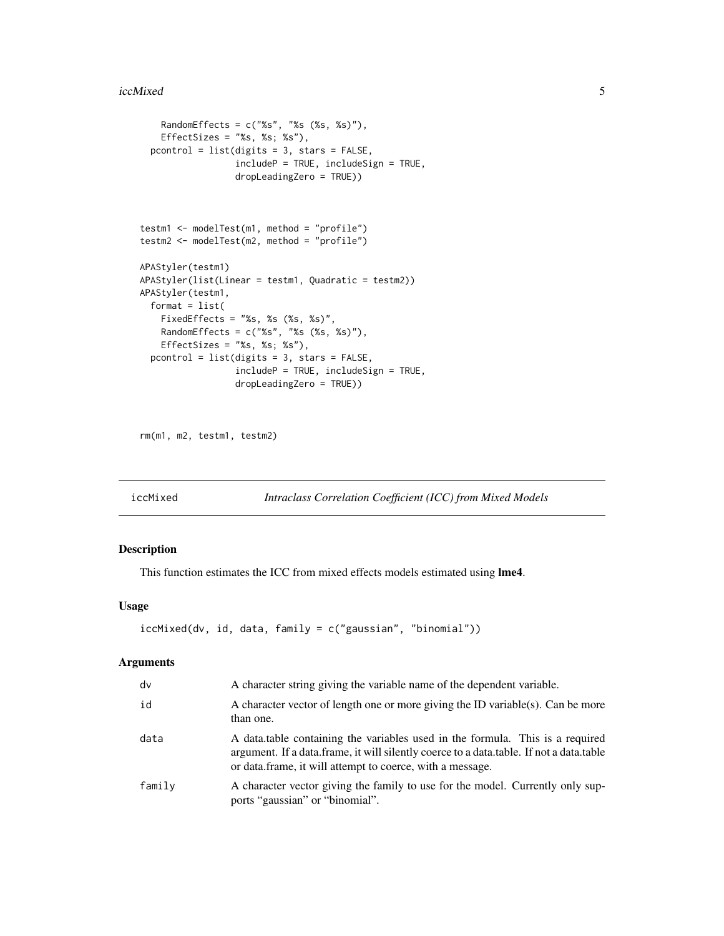#### <span id="page-4-0"></span>iccMixed 5

```
RandomEffects = c("%s", "%s (%s, %s)"),
    EffectSizes = "%s, %s; %s"),
  pcontrol = list(digits = 3, stars = FALSE,
                  includeP = TRUE, includeSign = TRUE,
                  dropLeadingZero = TRUE))
testm1 <- modelTest(m1, method = "profile")
testm2 <- modelTest(m2, method = "profile")
APAStyler(testm1)
APAStyler(list(Linear = testm1, Quadratic = testm2))
APAStyler(testm1,
  format = list(FixedEffects = "%s, %s (%s, %s)",
   RandomEffects = c("%s", "%s (%s, %s)"),
   EffectSizes = "%s, %s; %s"),
  pcontrol = list(digits = 3, stars = FALSE,
                  includeP = TRUE, includeSign = TRUE,
                  dropLeadingZero = TRUE))
```

```
rm(m1, m2, testm1, testm2)
```
iccMixed *Intraclass Correlation Coefficient (ICC) from Mixed Models*

#### Description

This function estimates the ICC from mixed effects models estimated using lme4.

#### Usage

```
iccMixed(dv, id, data, family = c("gaussian", "binomial"))
```
#### Arguments

| dv     | A character string giving the variable name of the dependent variable.                                                                                                                                                                 |  |
|--------|----------------------------------------------------------------------------------------------------------------------------------------------------------------------------------------------------------------------------------------|--|
| id     | A character vector of length one or more giving the ID variable(s). Can be more<br>than one.                                                                                                                                           |  |
| data   | A data table containing the variables used in the formula. This is a required<br>argument. If a data.frame, it will silently coerce to a data.table. If not a data.table<br>or data. frame, it will attempt to coerce, with a message. |  |
| family | A character vector giving the family to use for the model. Currently only sup-<br>ports "gaussian" or "binomial".                                                                                                                      |  |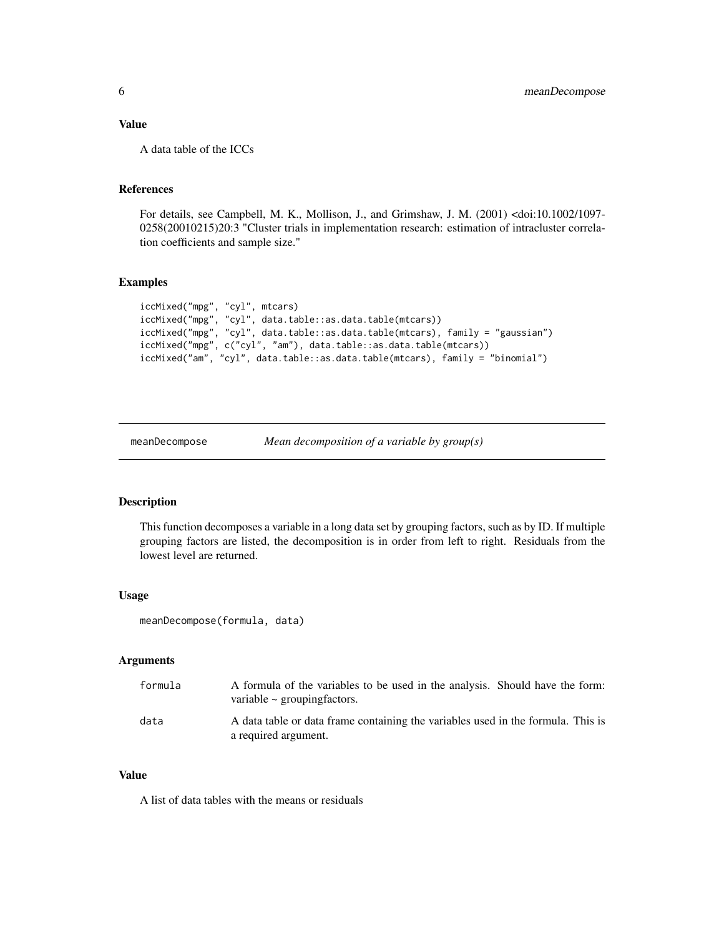#### <span id="page-5-0"></span>Value

A data table of the ICCs

#### References

For details, see Campbell, M. K., Mollison, J., and Grimshaw, J. M. (2001) <doi:10.1002/1097- 0258(20010215)20:3 "Cluster trials in implementation research: estimation of intracluster correlation coefficients and sample size."

#### Examples

```
iccMixed("mpg", "cyl", mtcars)
iccMixed("mpg", "cyl", data.table::as.data.table(mtcars))
iccMixed("mpg", "cyl", data.table::as.data.table(mtcars), family = "gaussian")
iccMixed("mpg", c("cyl", "am"), data.table::as.data.table(mtcars))
iccMixed("am", "cyl", data.table::as.data.table(mtcars), family = "binomial")
```

```
meanDecompose Mean decomposition of a variable by group(s)
```
#### Description

This function decomposes a variable in a long data set by grouping factors, such as by ID. If multiple grouping factors are listed, the decomposition is in order from left to right. Residuals from the lowest level are returned.

#### Usage

```
meanDecompose(formula, data)
```
#### Arguments

| formula | A formula of the variables to be used in the analysis. Should have the form:<br>variable $\sim$ grouping factors. |
|---------|-------------------------------------------------------------------------------------------------------------------|
| data    | A data table or data frame containing the variables used in the formula. This is<br>a required argument.          |

#### Value

A list of data tables with the means or residuals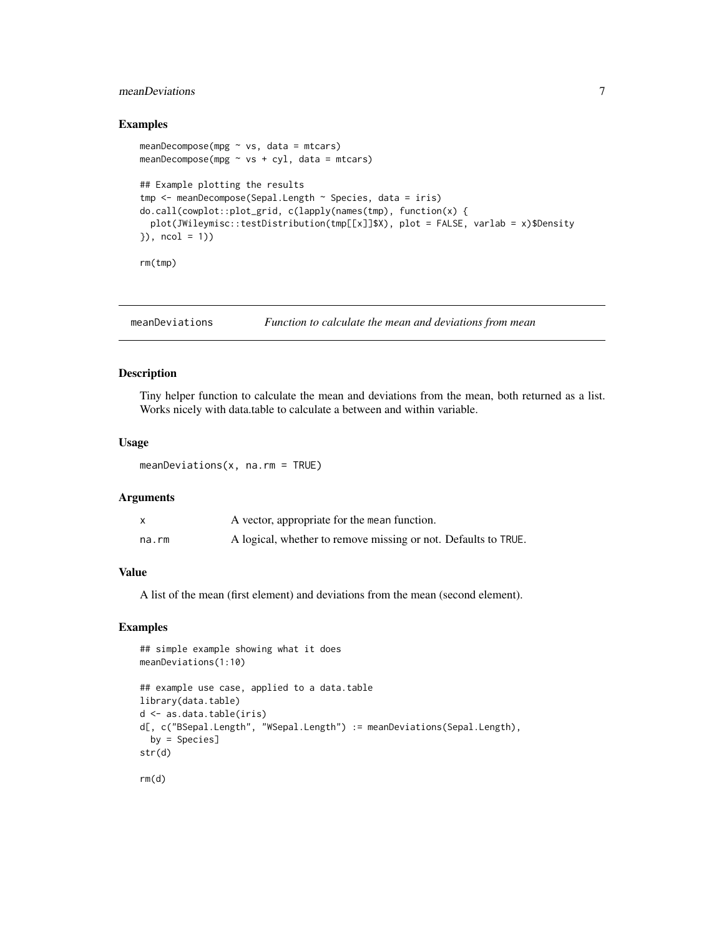#### <span id="page-6-0"></span>meanDeviations 7

#### Examples

```
meanDecompose(mpg \sim vs, data = mtcars)
meanDecompose(mpg \sim vs + cyl, data = mtcars)
## Example plotting the results
tmp <- meanDecompose(Sepal.Length ~ Species, data = iris)
do.call(cowplot::plot_grid, c(lapply(names(tmp), function(x) {
  plot(JWileymisc::testDistribution(tmp[[x]]$X), plot = FALSE, varlab = x)$Density
}), ncol = 1))
rm(tmp)
```
meanDeviations *Function to calculate the mean and deviations from mean*

#### Description

Tiny helper function to calculate the mean and deviations from the mean, both returned as a list. Works nicely with data.table to calculate a between and within variable.

#### Usage

meanDeviations(x, na.rm = TRUE)

#### Arguments

| $\mathsf{x}$ | A vector, appropriate for the mean function.                   |
|--------------|----------------------------------------------------------------|
| na.rm        | A logical, whether to remove missing or not. Defaults to TRUE. |

#### Value

A list of the mean (first element) and deviations from the mean (second element).

```
## simple example showing what it does
meanDeviations(1:10)
## example use case, applied to a data.table
library(data.table)
d <- as.data.table(iris)
d[, c("BSepal.Length", "WSepal.Length") := meanDeviations(Sepal.Length),
  by = Species]
str(d)
rm(d)
```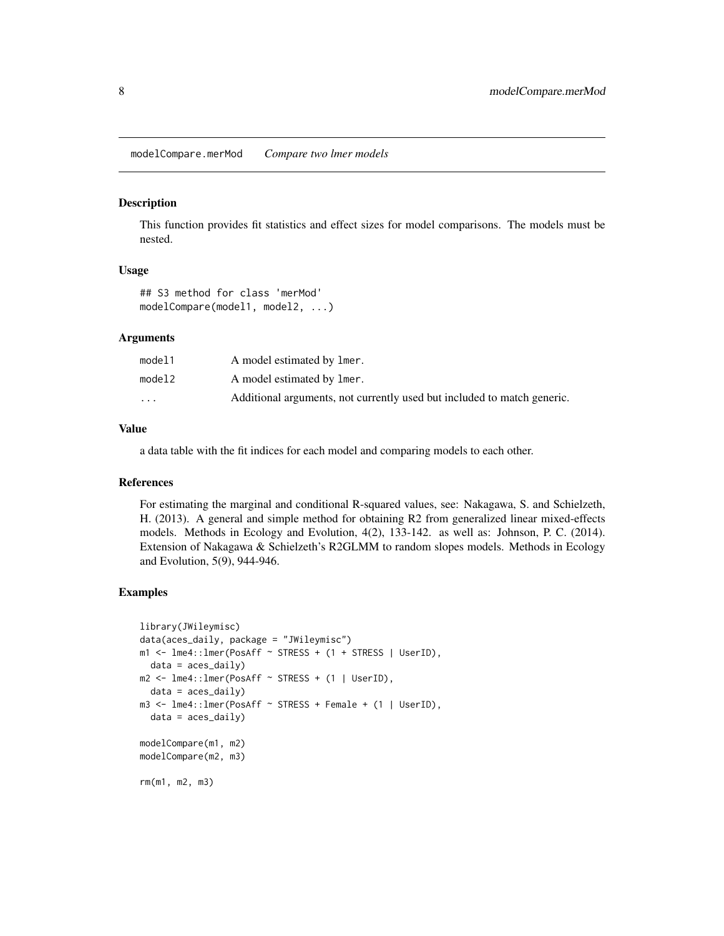<span id="page-7-0"></span>modelCompare.merMod *Compare two lmer models*

#### **Description**

This function provides fit statistics and effect sizes for model comparisons. The models must be nested.

#### Usage

## S3 method for class 'merMod' modelCompare(model1, model2, ...)

#### Arguments

| model1                  | A model estimated by lmer.                                              |
|-------------------------|-------------------------------------------------------------------------|
| model2                  | A model estimated by lmer.                                              |
| $\cdot$ $\cdot$ $\cdot$ | Additional arguments, not currently used but included to match generic. |

#### Value

a data table with the fit indices for each model and comparing models to each other.

#### References

For estimating the marginal and conditional R-squared values, see: Nakagawa, S. and Schielzeth, H. (2013). A general and simple method for obtaining R2 from generalized linear mixed-effects models. Methods in Ecology and Evolution, 4(2), 133-142. as well as: Johnson, P. C. (2014). Extension of Nakagawa & Schielzeth's R2GLMM to random slopes models. Methods in Ecology and Evolution, 5(9), 944-946.

```
library(JWileymisc)
data(aces_daily, package = "JWileymisc")
m1 <- lme4::lmer(PosAff ~ STRESS + (1 + STRESS | UserID),
  data = aces_daily)
m2 <- lme4::lmer(PosAff ~ STRESS + (1 | UserID),
  data = \text{aces\_daily}m3 \le - lme4::lmer(PosAff \sim STRESS + Female + (1 | UserID),
  data = \text{aces\_daily}modelCompare(m1, m2)
modelCompare(m2, m3)
rm(m1, m2, m3)
```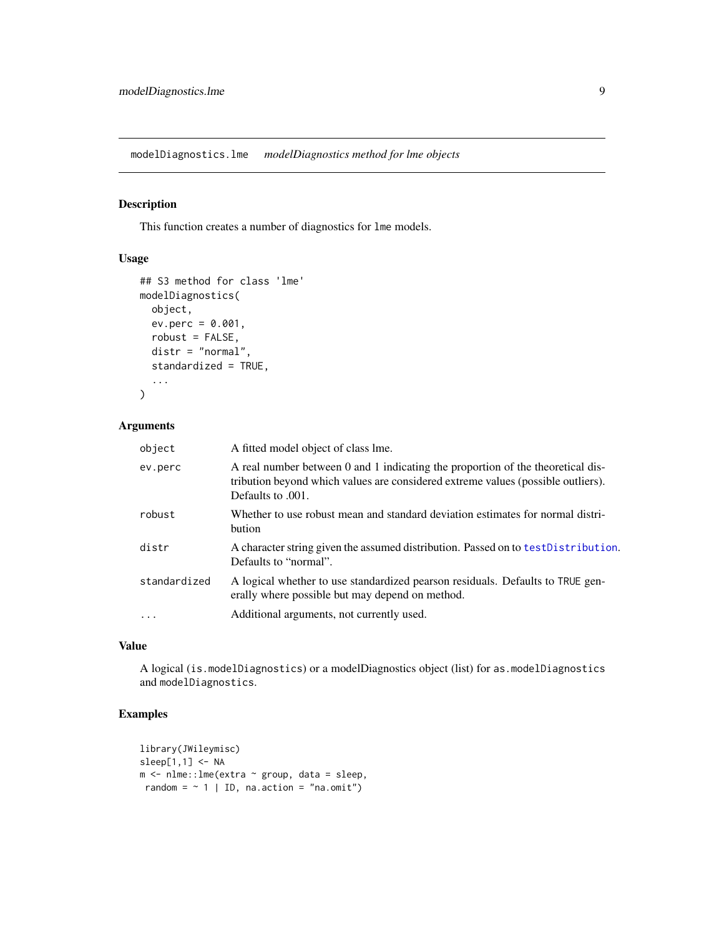<span id="page-8-0"></span>modelDiagnostics.lme *modelDiagnostics method for lme objects*

#### Description

This function creates a number of diagnostics for lme models.

#### Usage

```
## S3 method for class 'lme'
modelDiagnostics(
 object,
 ev.perc = 0.001,
  robust = FALSE,
 distr = "normal",
  standardized = TRUE,
  ...
)
```
#### Arguments

| object       | A fitted model object of class lme.                                                                                                                                                      |
|--------------|------------------------------------------------------------------------------------------------------------------------------------------------------------------------------------------|
| ev.perc      | A real number between 0 and 1 indicating the proportion of the theoretical dis-<br>tribution beyond which values are considered extreme values (possible outliers).<br>Defaults to .001. |
| robust       | Whether to use robust mean and standard deviation estimates for normal distri-<br>bution                                                                                                 |
| distr        | A character string given the assumed distribution. Passed on to test Distribution.<br>Defaults to "normal".                                                                              |
| standardized | A logical whether to use standardized pearson residuals. Defaults to TRUE gen-<br>erally where possible but may depend on method.                                                        |
| $\ddots$     | Additional arguments, not currently used.                                                                                                                                                |
|              |                                                                                                                                                                                          |

#### Value

A logical (is.modelDiagnostics) or a modelDiagnostics object (list) for as.modelDiagnostics and modelDiagnostics.

```
library(JWileymisc)
sleep[1,1] <- NA
m <- nlme::lme(extra ~ group, data = sleep,
random = \sim 1 | ID, na.action = "na.omit")
```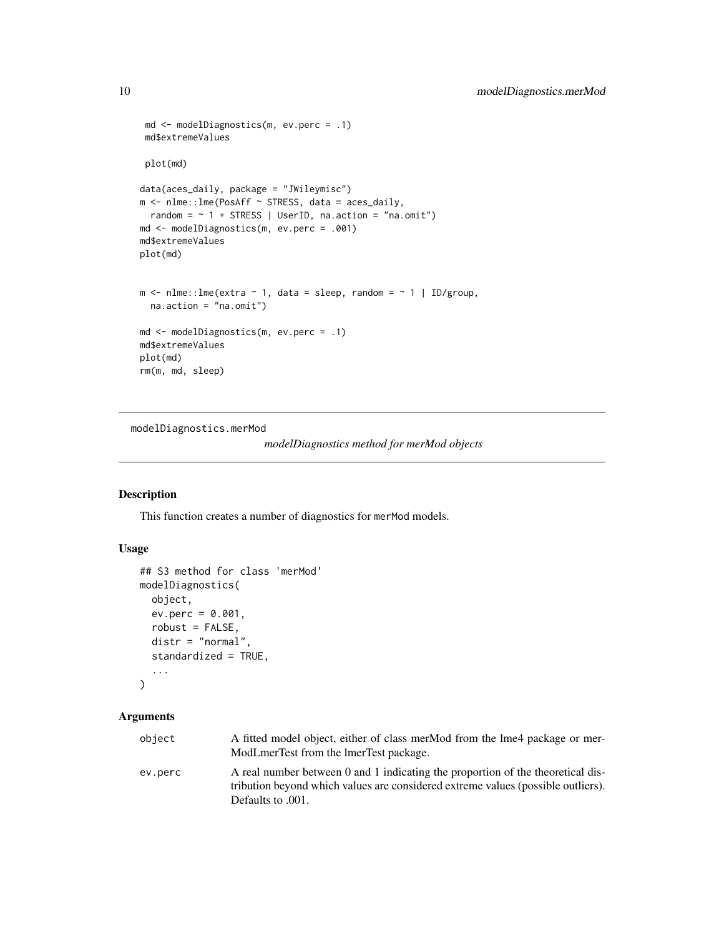```
md <- modelDiagnostics(m, ev.perc = .1)
 md$extremeValues
 plot(md)
data(aces_daily, package = "JWileymisc")
m <- nlme::lme(PosAff ~ STRESS, data = aces_daily,
  random = \sim 1 + STRESS | UserID, na.action = "na.omit")
md <- modelDiagnostics(m, ev.perc = .001)
md$extremeValues
plot(md)
m \le - nlme:: lme(extra \sim 1, data = sleep, random = \sim 1 | ID/group,
  na.action = "na.omit")
md <- modelDiagnostics(m, ev.perc = .1)
md$extremeValues
plot(md)
rm(m, md, sleep)
```
modelDiagnostics.merMod

```
modelDiagnostics method for merMod objects
```
#### Description

This function creates a number of diagnostics for merMod models.

#### Usage

```
## S3 method for class 'merMod'
modelDiagnostics(
 object,
 ev.perc = 0.001,
  robust = FALSE,
 distr = "normal",
  standardized = TRUE,
  ...
\mathcal{L}
```
#### Arguments

| object  | A fitted model object, either of class merMod from the lme4 package or mer-                                                                                         |
|---------|---------------------------------------------------------------------------------------------------------------------------------------------------------------------|
|         | ModLmerTest from the ImerTest package.                                                                                                                              |
| ev.perc | A real number between 0 and 1 indicating the proportion of the theoretical dis-<br>tribution beyond which values are considered extreme values (possible outliers). |
|         | Defaults to .001.                                                                                                                                                   |

<span id="page-9-0"></span>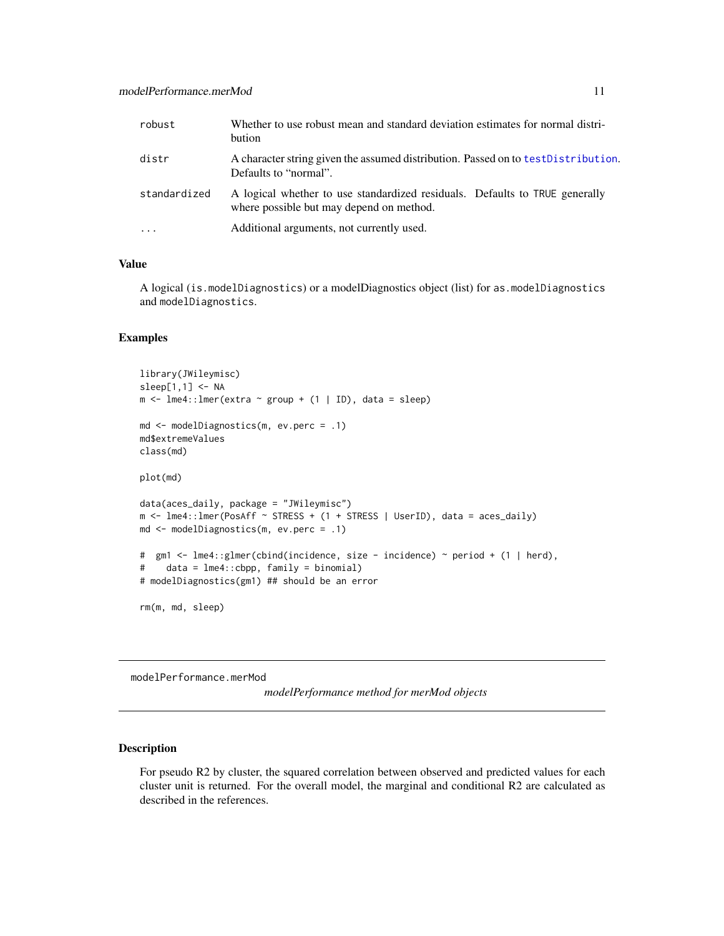<span id="page-10-0"></span>

| robust       | Whether to use robust mean and standard deviation estimates for normal distri-<br>bution                                |
|--------------|-------------------------------------------------------------------------------------------------------------------------|
| distr        | A character string given the assumed distribution. Passed on to test Distribution.<br>Defaults to "normal".             |
| standardized | A logical whether to use standardized residuals. Defaults to TRUE generally<br>where possible but may depend on method. |
|              | Additional arguments, not currently used.                                                                               |

#### Value

A logical (is.modelDiagnostics) or a modelDiagnostics object (list) for as.modelDiagnostics and modelDiagnostics.

#### Examples

```
library(JWileymisc)
sleep[1,1] < -NAm \le - lme4:: lmer(extra \sim group + (1 | ID), data = sleep)
md <- modelDiagnostics(m, ev.perc = .1)
md$extremeValues
class(md)
plot(md)
data(aces_daily, package = "JWileymisc")
m \leq 1me4::lmer(PosAff \sim STRESS + (1 + STRESS | UserID), data = aces_daily)
md <- modelDiagnostics(m, ev.perc = .1)
# gm1 <- lme4::glmer(cbind(incidence, size - incidence) ~ period + (1 | herd),
# data = lme4::cbpp, family = binomial)
# modelDiagnostics(gm1) ## should be an error
```
rm(m, md, sleep)

modelPerformance.merMod

*modelPerformance method for merMod objects*

#### Description

For pseudo R2 by cluster, the squared correlation between observed and predicted values for each cluster unit is returned. For the overall model, the marginal and conditional R2 are calculated as described in the references.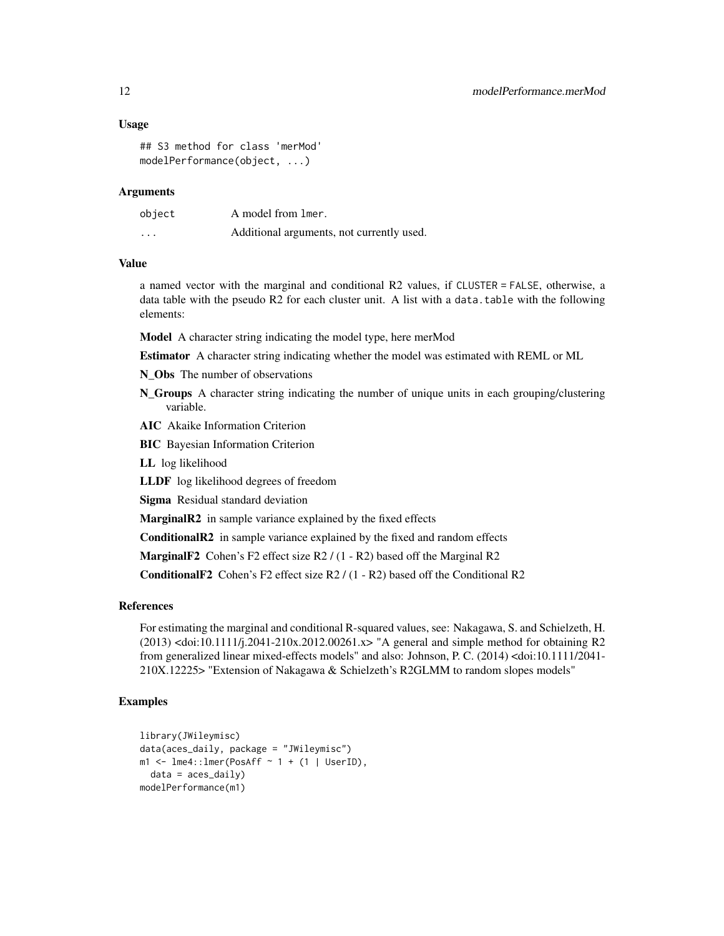#### Usage

```
## S3 method for class 'merMod'
modelPerformance(object, ...)
```
#### Arguments

| object   | A model from lmer.                        |
|----------|-------------------------------------------|
| $\cdots$ | Additional arguments, not currently used. |

#### Value

a named vector with the marginal and conditional R2 values, if CLUSTER = FALSE, otherwise, a data table with the pseudo R2 for each cluster unit. A list with a data.table with the following elements:

Model A character string indicating the model type, here merMod

Estimator A character string indicating whether the model was estimated with REML or ML

N Obs The number of observations

- N\_Groups A character string indicating the number of unique units in each grouping/clustering variable.
- AIC Akaike Information Criterion
- BIC Bayesian Information Criterion

LL log likelihood

LLDF log likelihood degrees of freedom

Sigma Residual standard deviation

MarginalR2 in sample variance explained by the fixed effects

ConditionalR2 in sample variance explained by the fixed and random effects

MarginalF<sub>2</sub> Cohen's F<sub>2</sub> effect size R<sub>2</sub> / (1 - R<sub>2</sub>) based off the Marginal R<sub>2</sub>

ConditionalF2 Cohen's F2 effect size R2 / (1 - R2) based off the Conditional R2

#### References

For estimating the marginal and conditional R-squared values, see: Nakagawa, S. and Schielzeth, H. (2013) <doi:10.1111/j.2041-210x.2012.00261.x> "A general and simple method for obtaining R2 from generalized linear mixed-effects models" and also: Johnson, P. C. (2014) <doi:10.1111/2041- 210X.12225> "Extension of Nakagawa & Schielzeth's R2GLMM to random slopes models"

```
library(JWileymisc)
data(aces_daily, package = "JWileymisc")
m1 \le - lme4::lmer(PosAff \sim 1 + (1 | UserID),data = \text{aces\_daily}modelPerformance(m1)
```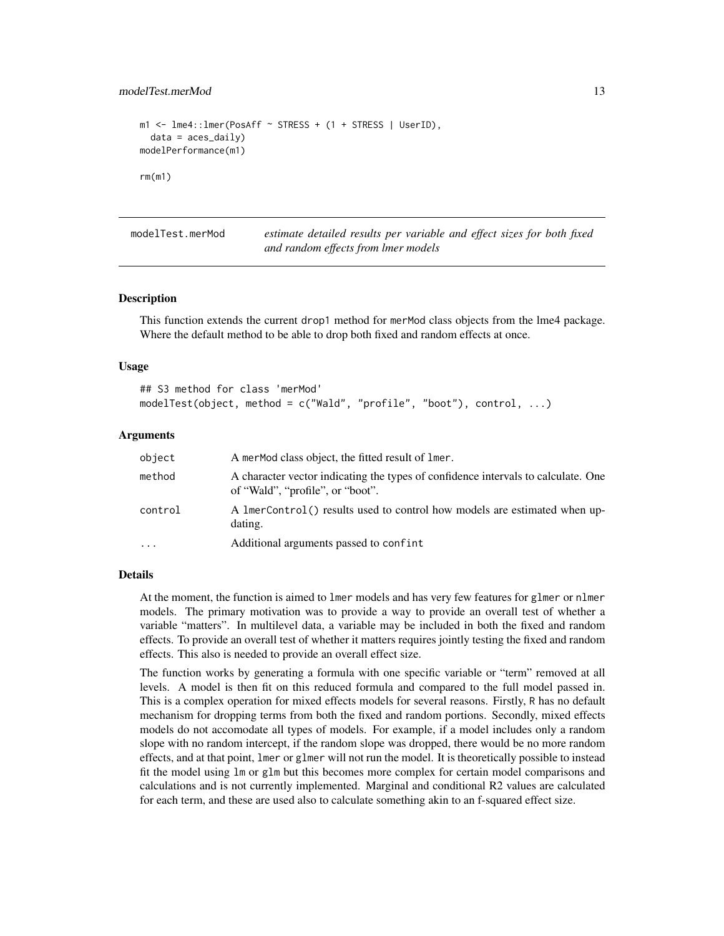```
m1 <- lme4::lmer(PosAff ~ STRESS + (1 + STRESS | UserID),
  data = \text{aces\_daily}modelPerformance(m1)
rm(m1)
```
modelTest.merMod *estimate detailed results per variable and effect sizes for both fixed and random effects from lmer models*

#### Description

This function extends the current drop1 method for merMod class objects from the lme4 package. Where the default method to be able to drop both fixed and random effects at once.

#### Usage

```
## S3 method for class 'merMod'
modelTest(object, method = c("Wald", "profile", "boot"), control, ...)
```
#### **Arguments**

| object   | A merMod class object, the fitted result of lmer.                                                                     |
|----------|-----------------------------------------------------------------------------------------------------------------------|
| method   | A character vector indicating the types of confidence intervals to calculate. One<br>of "Wald", "profile", or "boot". |
| control  | A lmerControl() results used to control how models are estimated when up-<br>dating.                                  |
| $\cdots$ | Additional arguments passed to confint                                                                                |
|          |                                                                                                                       |

#### Details

At the moment, the function is aimed to lmer models and has very few features for glmer or nlmer models. The primary motivation was to provide a way to provide an overall test of whether a variable "matters". In multilevel data, a variable may be included in both the fixed and random effects. To provide an overall test of whether it matters requires jointly testing the fixed and random effects. This also is needed to provide an overall effect size.

The function works by generating a formula with one specific variable or "term" removed at all levels. A model is then fit on this reduced formula and compared to the full model passed in. This is a complex operation for mixed effects models for several reasons. Firstly, R has no default mechanism for dropping terms from both the fixed and random portions. Secondly, mixed effects models do not accomodate all types of models. For example, if a model includes only a random slope with no random intercept, if the random slope was dropped, there would be no more random effects, and at that point, lmer or glmer will not run the model. It is theoretically possible to instead fit the model using lm or glm but this becomes more complex for certain model comparisons and calculations and is not currently implemented. Marginal and conditional R2 values are calculated for each term, and these are used also to calculate something akin to an f-squared effect size.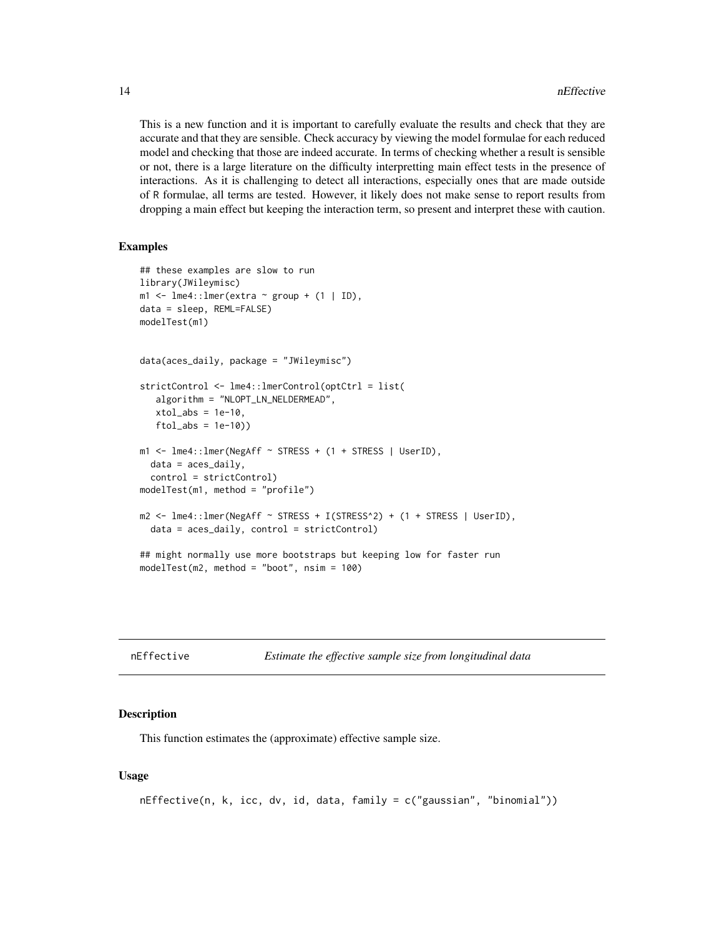This is a new function and it is important to carefully evaluate the results and check that they are accurate and that they are sensible. Check accuracy by viewing the model formulae for each reduced model and checking that those are indeed accurate. In terms of checking whether a result is sensible or not, there is a large literature on the difficulty interpretting main effect tests in the presence of interactions. As it is challenging to detect all interactions, especially ones that are made outside of R formulae, all terms are tested. However, it likely does not make sense to report results from dropping a main effect but keeping the interaction term, so present and interpret these with caution.

#### Examples

```
## these examples are slow to run
library(JWileymisc)
m1 \le - \text{Im}e4::\text{Imer}(extra \sim \text{group} + (1 | \text{ID}),data = sleep, REML=FALSE)
modelTest(m1)
data(aces_daily, package = "JWileymisc")
strictControl <- lme4::lmerControl(optCtrl = list(
   algorithm = "NLOPT_LN_NELDERMEAD",
   xtol_abs = 1e-10,
   ftol_abs = 1e-10)m1 <- lme4::lmer(NegAff ~ STRESS + (1 + STRESS | UserID),
  data = aces_daily,
  control = strictControl)
modelTest(m1, method = "profile")
m2 <- lme4::lmer(NegAff ~ STRESS + I(STRESS^2) + (1 + STRESS | UserID),
  data = aces_daily, control = strictControl)
## might normally use more bootstraps but keeping low for faster run
modelTest(m2, method = "boot", nsim = 100)
```

| nEffective |  |  |  | Estimate the effective sample size from longitudinal data |
|------------|--|--|--|-----------------------------------------------------------|
|------------|--|--|--|-----------------------------------------------------------|

#### Description

This function estimates the (approximate) effective sample size.

#### Usage

```
nEffective(n, k, icc, dv, id, data, family = c("gaussian", "binomial"))
```
<span id="page-13-0"></span>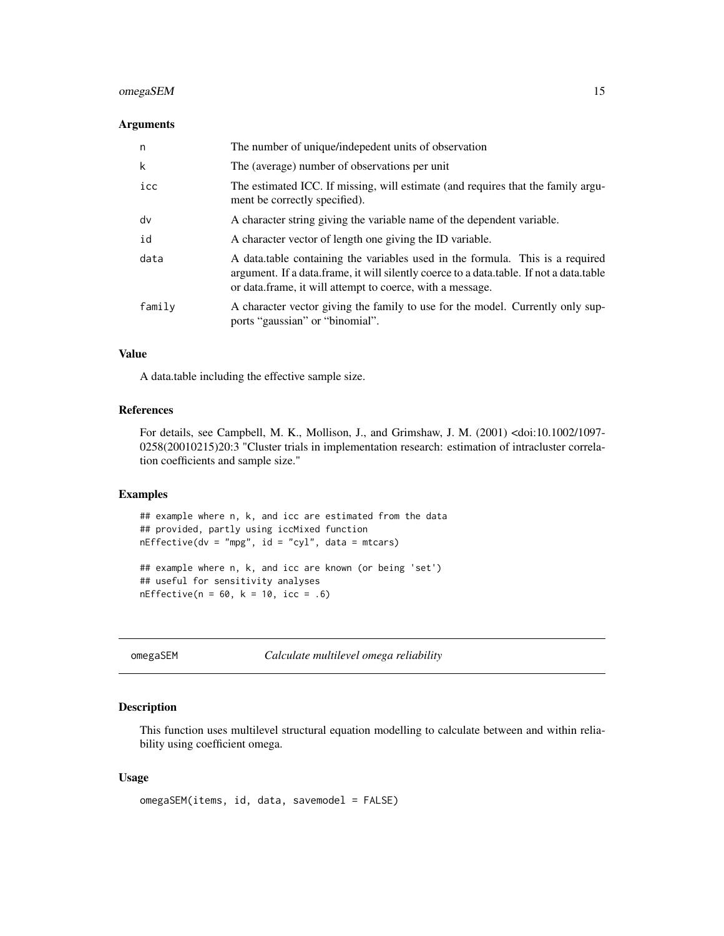#### <span id="page-14-0"></span>omegaSEM 15

#### Arguments

| n      | The number of unique/indepedent units of observation                                                                                                                                                                                  |
|--------|---------------------------------------------------------------------------------------------------------------------------------------------------------------------------------------------------------------------------------------|
| k      | The (average) number of observations per unit                                                                                                                                                                                         |
| icc    | The estimated ICC. If missing, will estimate (and requires that the family argu-<br>ment be correctly specified).                                                                                                                     |
| dv     | A character string giving the variable name of the dependent variable.                                                                                                                                                                |
| id     | A character vector of length one giving the ID variable.                                                                                                                                                                              |
| data   | A data table containing the variables used in the formula. This is a required<br>argument. If a data frame, it will silently coerce to a data table. If not a data table<br>or data.frame, it will attempt to coerce, with a message. |
| family | A character vector giving the family to use for the model. Currently only sup-<br>ports "gaussian" or "binomial".                                                                                                                     |

#### Value

A data.table including the effective sample size.

#### References

For details, see Campbell, M. K., Mollison, J., and Grimshaw, J. M. (2001) <doi:10.1002/1097- 0258(20010215)20:3 "Cluster trials in implementation research: estimation of intracluster correlation coefficients and sample size."

#### Examples

## example where n, k, and icc are estimated from the data ## provided, partly using iccMixed function  $nEffective(dv = "mpg", id = "cyl", data = mtcars)$ 

## example where n, k, and icc are known (or being 'set') ## useful for sensitivity analyses  $nEffective(n = 60, k = 10, icc = .6)$ 

omegaSEM *Calculate multilevel omega reliability*

#### Description

This function uses multilevel structural equation modelling to calculate between and within reliability using coefficient omega.

#### Usage

omegaSEM(items, id, data, savemodel = FALSE)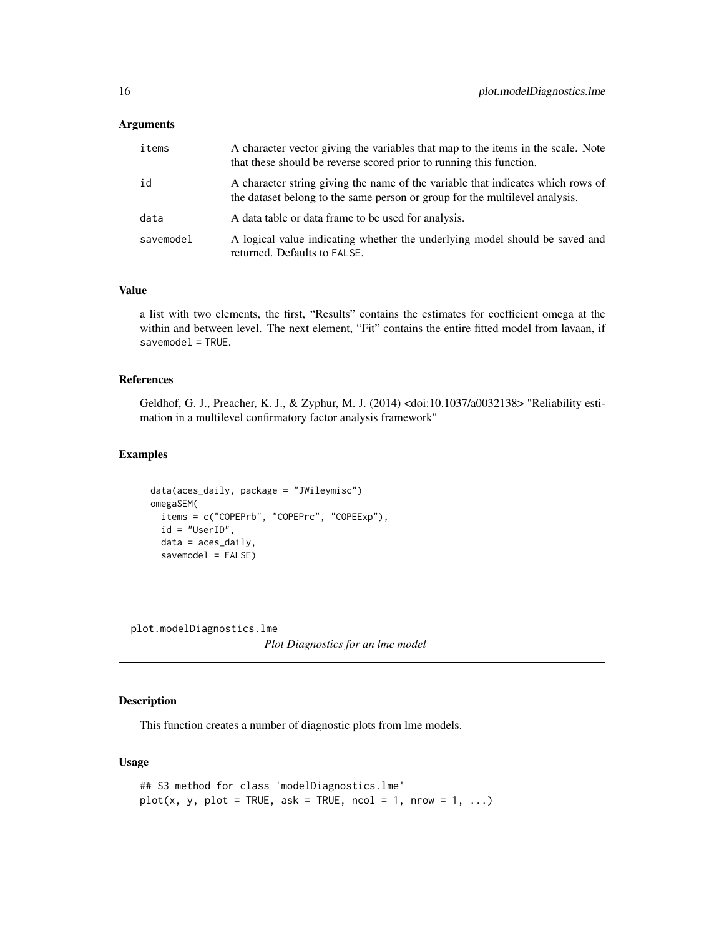#### <span id="page-15-0"></span>**Arguments**

| items     | A character vector giving the variables that map to the items in the scale. Note<br>that these should be reverse scored prior to running this function.        |
|-----------|----------------------------------------------------------------------------------------------------------------------------------------------------------------|
| id        | A character string giving the name of the variable that indicates which rows of<br>the dataset belong to the same person or group for the multilevel analysis. |
| data      | A data table or data frame to be used for analysis.                                                                                                            |
| savemodel | A logical value indicating whether the underlying model should be saved and<br>returned. Defaults to FALSE.                                                    |

#### Value

a list with two elements, the first, "Results" contains the estimates for coefficient omega at the within and between level. The next element, "Fit" contains the entire fitted model from lavaan, if  $s$ avemode $l$  = TRUE.

#### References

Geldhof, G. J., Preacher, K. J., & Zyphur, M. J. (2014) <doi:10.1037/a0032138> "Reliability estimation in a multilevel confirmatory factor analysis framework"

#### Examples

```
data(aces_daily, package = "JWileymisc")
omegaSEM(
  items = c("COPEPrb", "COPEPrc", "COPEExp"),
  id = "UserID",
  data = \text{aces\_daily},
  savemodel = FALSE)
```
plot.modelDiagnostics.lme *Plot Diagnostics for an lme model*

#### **Description**

This function creates a number of diagnostic plots from lme models.

#### Usage

```
## S3 method for class 'modelDiagnostics.lme'
plot(x, y, plot = TRUE, ask = TRUE, ncol = 1, nrow = 1, ...)
```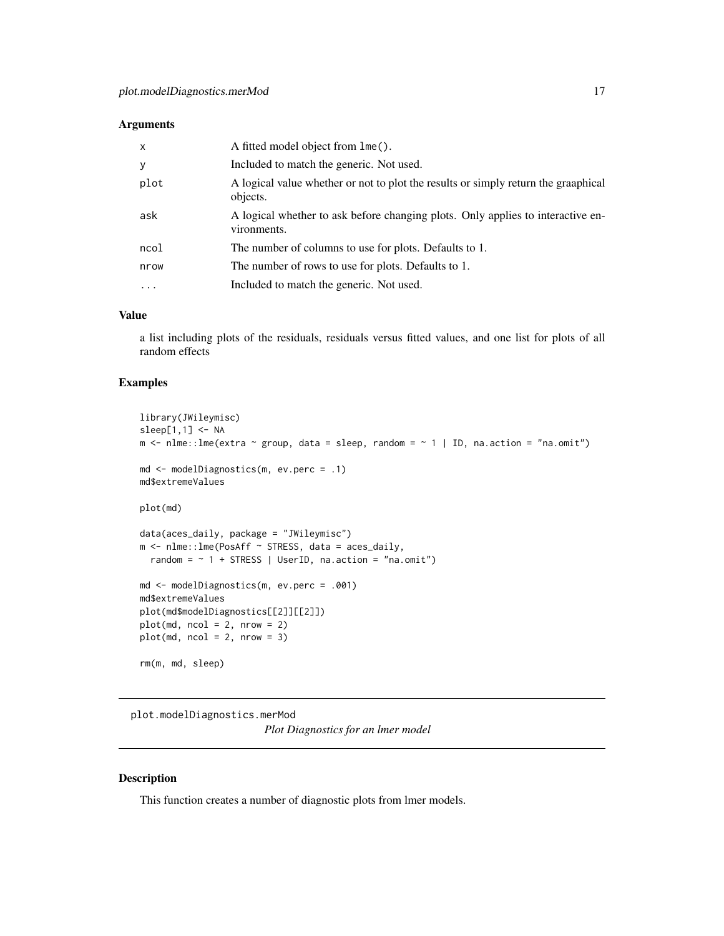#### <span id="page-16-0"></span>Arguments

| $\mathsf{x}$ | A fitted model object from lme().                                                              |
|--------------|------------------------------------------------------------------------------------------------|
| y            | Included to match the generic. Not used.                                                       |
| plot         | A logical value whether or not to plot the results or simply return the graaphical<br>objects. |
| ask          | A logical whether to ask before changing plots. Only applies to interactive en-<br>vironments. |
| ncol         | The number of columns to use for plots. Defaults to 1.                                         |
| nrow         | The number of rows to use for plots. Defaults to 1.                                            |
| $\cdots$     | Included to match the generic. Not used.                                                       |

#### Value

a list including plots of the residuals, residuals versus fitted values, and one list for plots of all random effects

#### Examples

```
library(JWileymisc)
sleep[1,1] <- NA
m <- nlme::lme(extra ~ group, data = sleep, random = ~ 1 | ID, na.action = "na.omit")
md <- modelDiagnostics(m, ev.perc = .1)
md$extremeValues
plot(md)
data(aces_daily, package = "JWileymisc")
m <- nlme::lme(PosAff ~ STRESS, data = aces_daily,
  random = \sim 1 + STRESS | UserID, na.action = "na.omit")
md <- modelDiagnostics(m, ev.perc = .001)
md$extremeValues
plot(md$modelDiagnostics[[2]][[2]])
plot(md, ncol = 2, nrow = 2)plot(md, ncol = 2, nrow = 3)rm(m, md, sleep)
```
plot.modelDiagnostics.merMod

*Plot Diagnostics for an lmer model*

#### Description

This function creates a number of diagnostic plots from lmer models.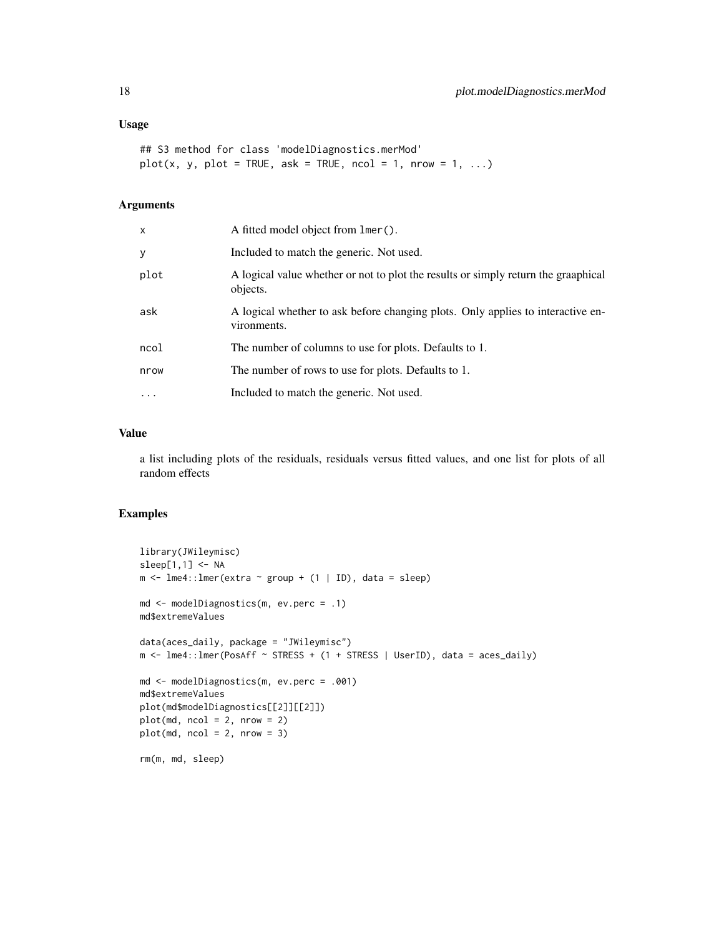```
## S3 method for class 'modelDiagnostics.merMod'
plot(x, y, plot = TRUE, ask = TRUE, ncol = 1, nrow = 1, ...)
```
#### Arguments

| x        | A fitted model object from lmer().                                                             |
|----------|------------------------------------------------------------------------------------------------|
| у        | Included to match the generic. Not used.                                                       |
| plot     | A logical value whether or not to plot the results or simply return the graaphical<br>objects. |
| ask      | A logical whether to ask before changing plots. Only applies to interactive en-<br>vironments. |
| ncol     | The number of columns to use for plots. Defaults to 1.                                         |
| nrow     | The number of rows to use for plots. Defaults to 1.                                            |
| $\cdots$ | Included to match the generic. Not used.                                                       |
|          |                                                                                                |

#### Value

a list including plots of the residuals, residuals versus fitted values, and one list for plots of all random effects

```
library(JWileymisc)
sleep[1,1] < -NAm \le - lme4:: lmer(extra \sim group + (1 | ID), data = sleep)
md <- modelDiagnostics(m, ev.perc = .1)
md$extremeValues
data(aces_daily, package = "JWileymisc")
m <- lme4::lmer(PosAff ~ STRESS + (1 + STRESS | UserID), data = aces_daily)
md <- modelDiagnostics(m, ev.perc = .001)
md$extremeValues
plot(md$modelDiagnostics[[2]][[2]])
plot(md, ncol = 2, nrow = 2)plot(md, ncol = 2, nrow = 3)rm(m, md, sleep)
```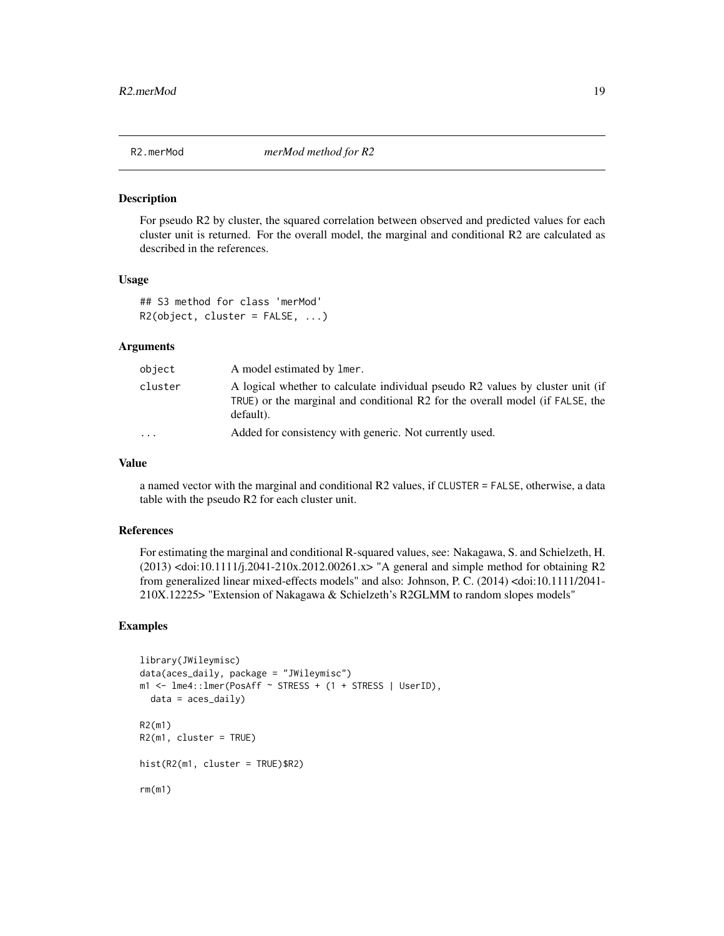<span id="page-18-0"></span>

#### Description

For pseudo R2 by cluster, the squared correlation between observed and predicted values for each cluster unit is returned. For the overall model, the marginal and conditional R2 are calculated as described in the references.

#### Usage

```
## S3 method for class 'merMod'
R2(object, cluster = FALSE, ...)
```
#### Arguments

| object    | A model estimated by lmer.                                                                                                                                                   |
|-----------|------------------------------------------------------------------------------------------------------------------------------------------------------------------------------|
| cluster   | A logical whether to calculate individual pseudo R2 values by cluster unit (if<br>TRUE) or the marginal and conditional R2 for the overall model (if FALSE, the<br>default). |
| $\ddotsc$ | Added for consistency with generic. Not currently used.                                                                                                                      |

#### Value

a named vector with the marginal and conditional R2 values, if CLUSTER = FALSE, otherwise, a data table with the pseudo R2 for each cluster unit.

#### References

For estimating the marginal and conditional R-squared values, see: Nakagawa, S. and Schielzeth, H. (2013) <doi:10.1111/j.2041-210x.2012.00261.x> "A general and simple method for obtaining R2 from generalized linear mixed-effects models" and also: Johnson, P. C. (2014) <doi:10.1111/2041- 210X.12225> "Extension of Nakagawa & Schielzeth's R2GLMM to random slopes models"

```
library(JWileymisc)
data(aces_daily, package = "JWileymisc")
m1 <- lme4::lmer(PosAff ~ STRESS + (1 + STRESS | UserID),
  data = aces\_daily)R2(m1)
R2(m1, cluster = TRUE)
hist(R2(m1, cluster = TRUE)$R2)
rm(m1)
```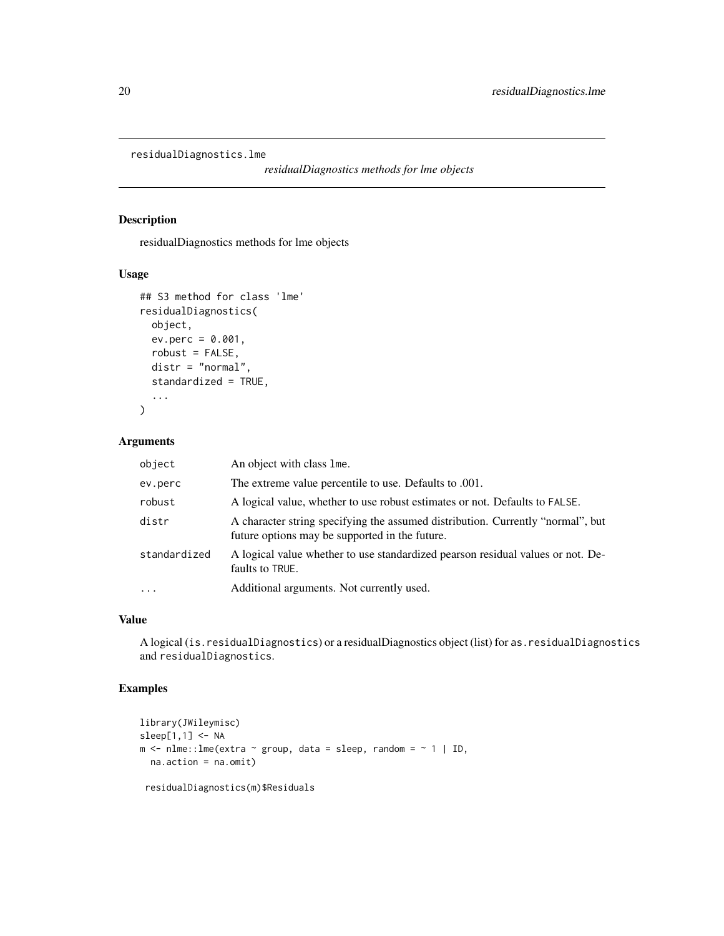```
residualDiagnostics.lme
```
*residualDiagnostics methods for lme objects*

#### Description

residualDiagnostics methods for lme objects

#### Usage

```
## S3 method for class 'lme'
residualDiagnostics(
 object,
 ev.perc = 0.001,robust = FALSE,
 distr = "normal",
  standardized = TRUE,
  ...
\mathcal{L}
```
#### Arguments

| object                  | An object with class lme.                                                                                                         |
|-------------------------|-----------------------------------------------------------------------------------------------------------------------------------|
| ev.perc                 | The extreme value percentile to use. Defaults to .001.                                                                            |
| robust                  | A logical value, whether to use robust estimates or not. Defaults to FALSE.                                                       |
| distr                   | A character string specifying the assumed distribution. Currently "normal", but<br>future options may be supported in the future. |
| standardized            | A logical value whether to use standardized pearson residual values or not. De-<br>faults to TRUE.                                |
| $\cdot$ $\cdot$ $\cdot$ | Additional arguments. Not currently used.                                                                                         |

#### Value

A logical (is.residualDiagnostics) or a residualDiagnostics object (list) for as.residualDiagnostics and residualDiagnostics.

#### Examples

```
library(JWileymisc)
sleep[1,1] <- NA
m <- nlme::lme(extra \sim group, data = sleep, random = \sim 1 | ID,
 na.action = na.omit)
```
residualDiagnostics(m)\$Residuals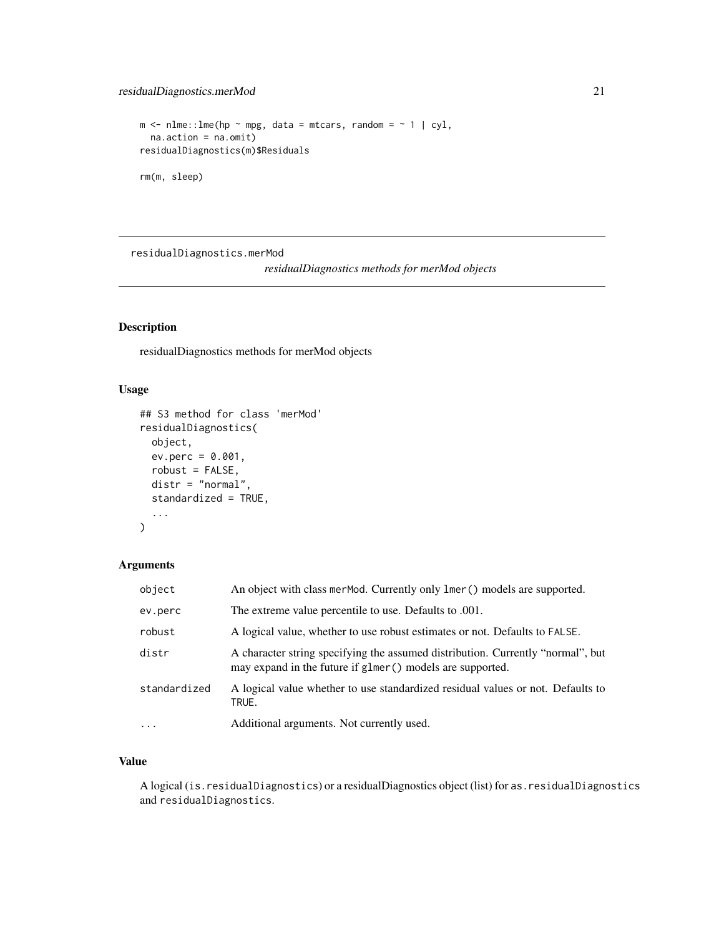```
m \le - nlme::lme(hp \sim mpg, data = mtcars, random = \sim 1 | cyl,
  na.action = na.omit)
residualDiagnostics(m)$Residuals
rm(m, sleep)
```
residualDiagnostics.merMod *residualDiagnostics methods for merMod objects*

#### Description

residualDiagnostics methods for merMod objects

#### Usage

```
## S3 method for class 'merMod'
residualDiagnostics(
  object,
 ev.perc = 0.001,
 robust = FALSE,distr = "normal",
  standardized = TRUE,
  ...
)
```
#### Arguments

| object       | An object with class merMod. Currently only lmer () models are supported.                                                                     |
|--------------|-----------------------------------------------------------------------------------------------------------------------------------------------|
| ev.perc      | The extreme value percentile to use. Defaults to .001.                                                                                        |
| robust       | A logical value, whether to use robust estimates or not. Defaults to FALSE.                                                                   |
| distr        | A character string specifying the assumed distribution. Currently "normal", but<br>may expand in the future if glmer () models are supported. |
| standardized | A logical value whether to use standardized residual values or not. Defaults to<br>TRUE.                                                      |
| $\cdots$     | Additional arguments. Not currently used.                                                                                                     |

#### Value

A logical (is.residualDiagnostics) or a residualDiagnostics object (list) for as.residualDiagnostics and residualDiagnostics.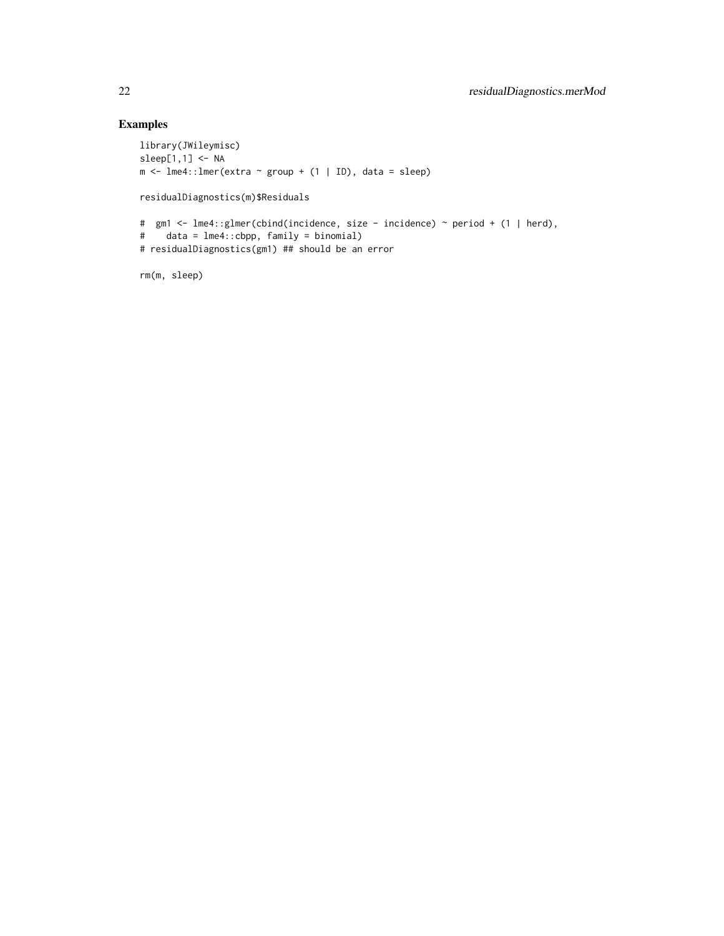```
library(JWileymisc)
sleep[1,1] <- NA
m \leq 1me4::lmer(extra \sim group + (1 | ID), data = sleep)
residualDiagnostics(m)$Residuals
# gm1 <- lme4::glmer(cbind(incidence, size - incidence) ~ period + (1 | herd),
# data = lme4::cbpp, family = binomial)
# residualDiagnostics(gm1) ## should be an error
rm(m, sleep)
```